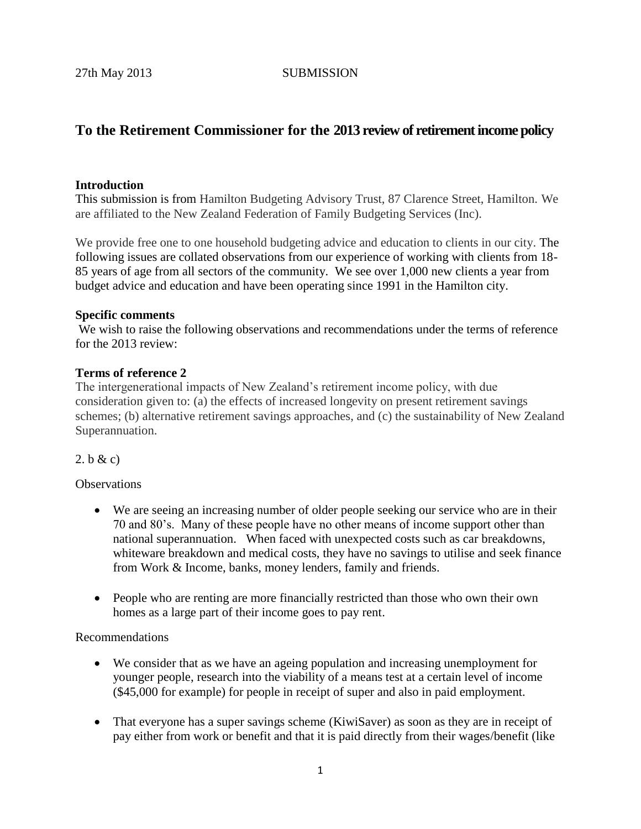# **To the Retirement Commissioner for the 2013 review of retirement income policy**

#### **Introduction**

This submission is from Hamilton Budgeting Advisory Trust, 87 Clarence Street, Hamilton. We are affiliated to the New Zealand Federation of Family Budgeting Services (Inc).

We provide free one to one household budgeting advice and education to clients in our city. The following issues are collated observations from our experience of working with clients from 18- 85 years of age from all sectors of the community. We see over 1,000 new clients a year from budget advice and education and have been operating since 1991 in the Hamilton city.

#### **Specific comments**

We wish to raise the following observations and recommendations under the terms of reference for the 2013 review:

#### **Terms of reference 2**

The intergenerational impacts of New Zealand's retirement income policy, with due consideration given to: (a) the effects of increased longevity on present retirement savings schemes; (b) alternative retirement savings approaches, and (c) the sustainability of New Zealand Superannuation.

#### 2. b & c)

**Observations** 

- We are seeing an increasing number of older people seeking our service who are in their 70 and 80's. Many of these people have no other means of income support other than national superannuation. When faced with unexpected costs such as car breakdowns, whiteware breakdown and medical costs, they have no savings to utilise and seek finance from Work & Income, banks, money lenders, family and friends.
- People who are renting are more financially restricted than those who own their own homes as a large part of their income goes to pay rent.

#### Recommendations

- We consider that as we have an ageing population and increasing unemployment for younger people, research into the viability of a means test at a certain level of income (\$45,000 for example) for people in receipt of super and also in paid employment.
- That everyone has a super savings scheme (KiwiSaver) as soon as they are in receipt of pay either from work or benefit and that it is paid directly from their wages/benefit (like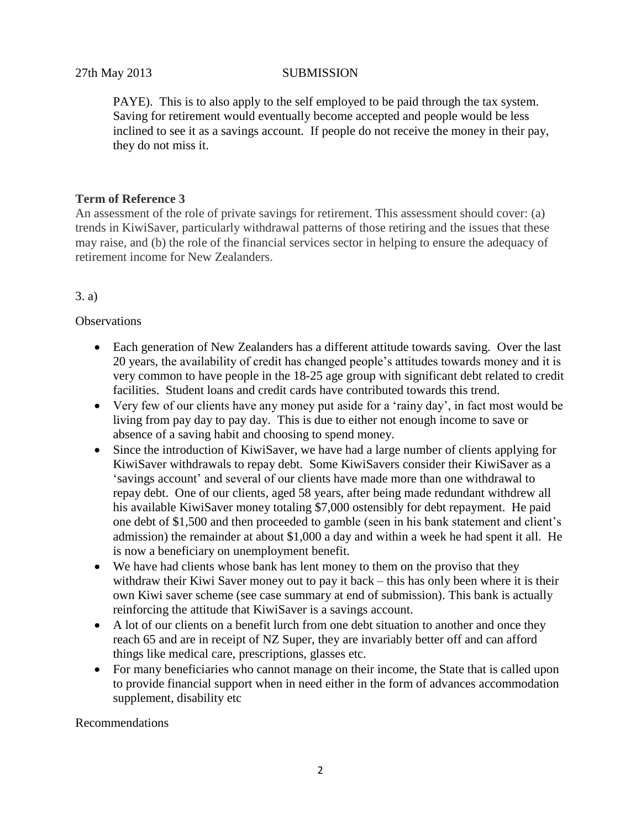PAYE). This is to also apply to the self employed to be paid through the tax system. Saving for retirement would eventually become accepted and people would be less inclined to see it as a savings account. If people do not receive the money in their pay, they do not miss it.

### **Term of Reference 3**

An assessment of the role of private savings for retirement. This assessment should cover: (a) trends in KiwiSaver, particularly withdrawal patterns of those retiring and the issues that these may raise, and (b) the role of the financial services sector in helping to ensure the adequacy of retirement income for New Zealanders.

## 3. a)

## **Observations**

- Each generation of New Zealanders has a different attitude towards saving. Over the last 20 years, the availability of credit has changed people's attitudes towards money and it is very common to have people in the 18-25 age group with significant debt related to credit facilities. Student loans and credit cards have contributed towards this trend.
- Very few of our clients have any money put aside for a 'rainy day', in fact most would be living from pay day to pay day. This is due to either not enough income to save or absence of a saving habit and choosing to spend money.
- Since the introduction of KiwiSaver, we have had a large number of clients applying for KiwiSaver withdrawals to repay debt. Some KiwiSavers consider their KiwiSaver as a 'savings account' and several of our clients have made more than one withdrawal to repay debt. One of our clients, aged 58 years, after being made redundant withdrew all his available KiwiSaver money totaling \$7,000 ostensibly for debt repayment. He paid one debt of \$1,500 and then proceeded to gamble (seen in his bank statement and client's admission) the remainder at about \$1,000 a day and within a week he had spent it all. He is now a beneficiary on unemployment benefit.
- We have had clients whose bank has lent money to them on the proviso that they withdraw their Kiwi Saver money out to pay it back – this has only been where it is their own Kiwi saver scheme (see case summary at end of submission). This bank is actually reinforcing the attitude that KiwiSaver is a savings account.
- A lot of our clients on a benefit lurch from one debt situation to another and once they reach 65 and are in receipt of NZ Super, they are invariably better off and can afford things like medical care, prescriptions, glasses etc.
- For many beneficiaries who cannot manage on their income, the State that is called upon to provide financial support when in need either in the form of advances accommodation supplement, disability etc

#### Recommendations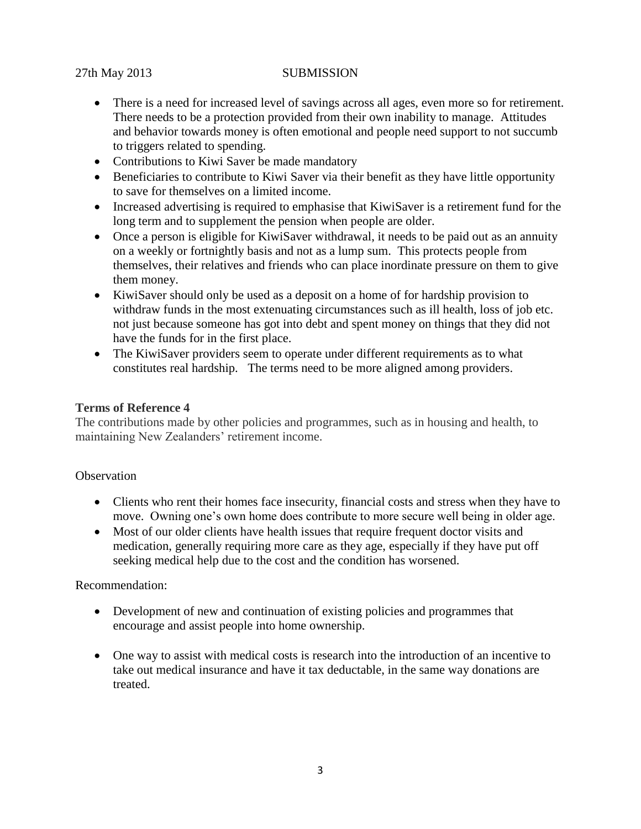- There is a need for increased level of savings across all ages, even more so for retirement. There needs to be a protection provided from their own inability to manage. Attitudes and behavior towards money is often emotional and people need support to not succumb to triggers related to spending.
- Contributions to Kiwi Saver be made mandatory
- Beneficiaries to contribute to Kiwi Saver via their benefit as they have little opportunity to save for themselves on a limited income.
- Increased advertising is required to emphasise that KiwiSaver is a retirement fund for the long term and to supplement the pension when people are older.
- Once a person is eligible for KiwiSaver withdrawal, it needs to be paid out as an annuity on a weekly or fortnightly basis and not as a lump sum. This protects people from themselves, their relatives and friends who can place inordinate pressure on them to give them money.
- KiwiSaver should only be used as a deposit on a home of for hardship provision to withdraw funds in the most extenuating circumstances such as ill health, loss of job etc. not just because someone has got into debt and spent money on things that they did not have the funds for in the first place.
- The KiwiSaver providers seem to operate under different requirements as to what constitutes real hardship. The terms need to be more aligned among providers.

## **Terms of Reference 4**

The contributions made by other policies and programmes, such as in housing and health, to maintaining New Zealanders' retirement income.

#### **Observation**

- Clients who rent their homes face insecurity, financial costs and stress when they have to move. Owning one's own home does contribute to more secure well being in older age.
- Most of our older clients have health issues that require frequent doctor visits and medication, generally requiring more care as they age, especially if they have put off seeking medical help due to the cost and the condition has worsened.

#### Recommendation:

- Development of new and continuation of existing policies and programmes that encourage and assist people into home ownership.
- One way to assist with medical costs is research into the introduction of an incentive to take out medical insurance and have it tax deductable, in the same way donations are treated.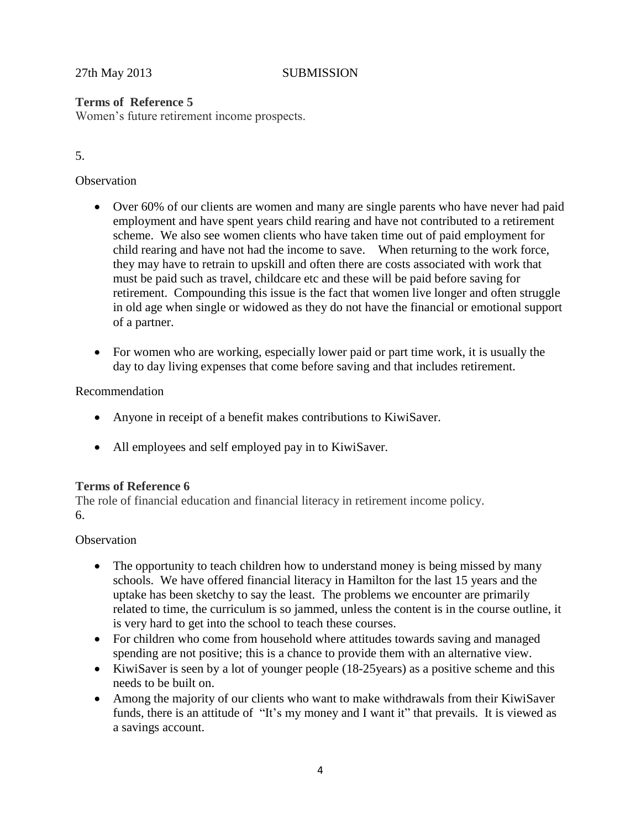## **Terms of Reference 5**

Women's future retirement income prospects.

## 5.

## **Observation**

- Over 60% of our clients are women and many are single parents who have never had paid employment and have spent years child rearing and have not contributed to a retirement scheme. We also see women clients who have taken time out of paid employment for child rearing and have not had the income to save. When returning to the work force, they may have to retrain to upskill and often there are costs associated with work that must be paid such as travel, childcare etc and these will be paid before saving for retirement. Compounding this issue is the fact that women live longer and often struggle in old age when single or widowed as they do not have the financial or emotional support of a partner.
- For women who are working, especially lower paid or part time work, it is usually the day to day living expenses that come before saving and that includes retirement.

## Recommendation

- Anyone in receipt of a benefit makes contributions to KiwiSaver.
- All employees and self employed pay in to KiwiSaver.

## **Terms of Reference 6**

The role of financial education and financial literacy in retirement income policy. 6.

## **Observation**

- The opportunity to teach children how to understand money is being missed by many schools. We have offered financial literacy in Hamilton for the last 15 years and the uptake has been sketchy to say the least. The problems we encounter are primarily related to time, the curriculum is so jammed, unless the content is in the course outline, it is very hard to get into the school to teach these courses.
- For children who come from household where attitudes towards saving and managed spending are not positive; this is a chance to provide them with an alternative view.
- KiwiSaver is seen by a lot of younger people (18-25 years) as a positive scheme and this needs to be built on.
- Among the majority of our clients who want to make withdrawals from their KiwiSaver funds, there is an attitude of "It's my money and I want it" that prevails. It is viewed as a savings account.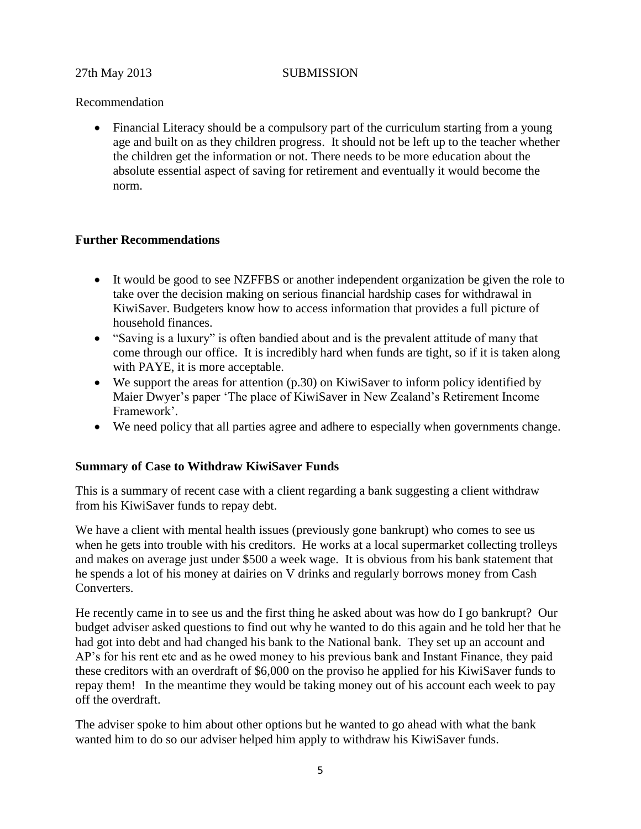## Recommendation

 Financial Literacy should be a compulsory part of the curriculum starting from a young age and built on as they children progress. It should not be left up to the teacher whether the children get the information or not. There needs to be more education about the absolute essential aspect of saving for retirement and eventually it would become the norm.

## **Further Recommendations**

- It would be good to see NZFFBS or another independent organization be given the role to take over the decision making on serious financial hardship cases for withdrawal in KiwiSaver. Budgeters know how to access information that provides a full picture of household finances.
- "Saving is a luxury" is often bandied about and is the prevalent attitude of many that come through our office. It is incredibly hard when funds are tight, so if it is taken along with PAYE, it is more acceptable.
- We support the areas for attention (p.30) on KiwiSaver to inform policy identified by Maier Dwyer's paper 'The place of KiwiSaver in New Zealand's Retirement Income Framework'.
- We need policy that all parties agree and adhere to especially when governments change.

## **Summary of Case to Withdraw KiwiSaver Funds**

This is a summary of recent case with a client regarding a bank suggesting a client withdraw from his KiwiSaver funds to repay debt.

We have a client with mental health issues (previously gone bankrupt) who comes to see us when he gets into trouble with his creditors. He works at a local supermarket collecting trolleys and makes on average just under \$500 a week wage. It is obvious from his bank statement that he spends a lot of his money at dairies on V drinks and regularly borrows money from Cash Converters.

He recently came in to see us and the first thing he asked about was how do I go bankrupt? Our budget adviser asked questions to find out why he wanted to do this again and he told her that he had got into debt and had changed his bank to the National bank. They set up an account and AP's for his rent etc and as he owed money to his previous bank and Instant Finance, they paid these creditors with an overdraft of \$6,000 on the proviso he applied for his KiwiSaver funds to repay them! In the meantime they would be taking money out of his account each week to pay off the overdraft.

The adviser spoke to him about other options but he wanted to go ahead with what the bank wanted him to do so our adviser helped him apply to withdraw his KiwiSaver funds.